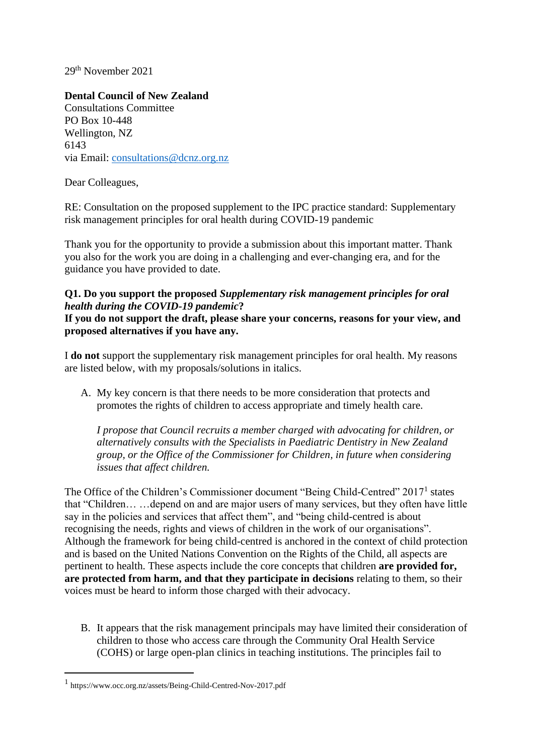29th November 2021

**Dental Council of New Zealand**  Consultations Committee PO Box 10-448 Wellington, NZ 6143 via Email: [consultations@dcnz.org.nz](mailto:consultations@dcnz.org.nz)

Dear Colleagues,

RE: Consultation on the proposed supplement to the IPC practice standard: Supplementary risk management principles for oral health during COVID-19 pandemic

Thank you for the opportunity to provide a submission about this important matter. Thank you also for the work you are doing in a challenging and ever-changing era, and for the guidance you have provided to date.

## **Q1. Do you support the proposed** *Supplementary risk management principles for oral health during the COVID-19 pandemic***?**

**If you do not support the draft, please share your concerns, reasons for your view, and proposed alternatives if you have any.** 

I **do not** support the supplementary risk management principles for oral health. My reasons are listed below, with my proposals/solutions in italics.

A. My key concern is that there needs to be more consideration that protects and promotes the rights of children to access appropriate and timely health care.

*I propose that Council recruits a member charged with advocating for children, or alternatively consults with the Specialists in Paediatric Dentistry in New Zealand group, or the Office of the Commissioner for Children, in future when considering issues that affect children.*

The Office of the Children's Commissioner document "Being Child-Centred" 2017<sup>1</sup> states that "Children… …depend on and are major users of many services, but they often have little say in the policies and services that affect them", and "being child-centred is about recognising the needs, rights and views of children in the work of our organisations". Although the framework for being child-centred is anchored in the context of child protection and is based on the United Nations Convention on the Rights of the Child, all aspects are pertinent to health. These aspects include the core concepts that children **are provided for, are protected from harm, and that they participate in decisions** relating to them, so their voices must be heard to inform those charged with their advocacy.

B. It appears that the risk management principals may have limited their consideration of children to those who access care through the Community Oral Health Service (COHS) or large open-plan clinics in teaching institutions. The principles fail to

<sup>1</sup> https://www.occ.org.nz/assets/Being-Child-Centred-Nov-2017.pdf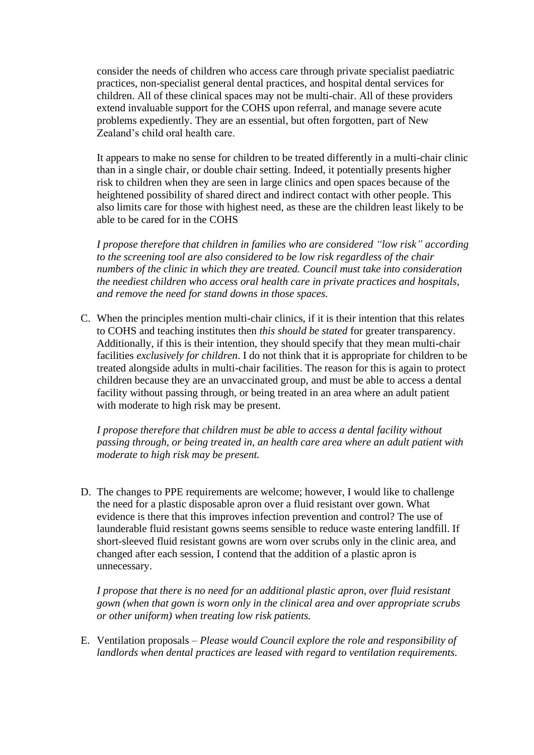consider the needs of children who access care through private specialist paediatric practices, non-specialist general dental practices, and hospital dental services for children. All of these clinical spaces may not be multi-chair. All of these providers extend invaluable support for the COHS upon referral, and manage severe acute problems expediently. They are an essential, but often forgotten, part of New Zealand's child oral health care.

It appears to make no sense for children to be treated differently in a multi-chair clinic than in a single chair, or double chair setting. Indeed, it potentially presents higher risk to children when they are seen in large clinics and open spaces because of the heightened possibility of shared direct and indirect contact with other people. This also limits care for those with highest need, as these are the children least likely to be able to be cared for in the COHS

*I propose therefore that children in families who are considered "low risk" according to the screening tool are also considered to be low risk regardless of the chair numbers of the clinic in which they are treated. Council must take into consideration the neediest children who access oral health care in private practices and hospitals, and remove the need for stand downs in those spaces.*

C. When the principles mention multi-chair clinics, if it is their intention that this relates to COHS and teaching institutes then *this should be stated* for greater transparency. Additionally, if this is their intention, they should specify that they mean multi-chair facilities *exclusively for children*. I do not think that it is appropriate for children to be treated alongside adults in multi-chair facilities. The reason for this is again to protect children because they are an unvaccinated group, and must be able to access a dental facility without passing through, or being treated in an area where an adult patient with moderate to high risk may be present.

*I propose therefore that children must be able to access a dental facility without passing through, or being treated in, an health care area where an adult patient with moderate to high risk may be present.* 

D. The changes to PPE requirements are welcome; however, I would like to challenge the need for a plastic disposable apron over a fluid resistant over gown. What evidence is there that this improves infection prevention and control? The use of launderable fluid resistant gowns seems sensible to reduce waste entering landfill. If short-sleeved fluid resistant gowns are worn over scrubs only in the clinic area, and changed after each session, I contend that the addition of a plastic apron is unnecessary.

*I propose that there is no need for an additional plastic apron, over fluid resistant gown (when that gown is worn only in the clinical area and over appropriate scrubs or other uniform) when treating low risk patients.* 

E. Ventilation proposals – *Please would Council explore the role and responsibility of landlords when dental practices are leased with regard to ventilation requirements.*